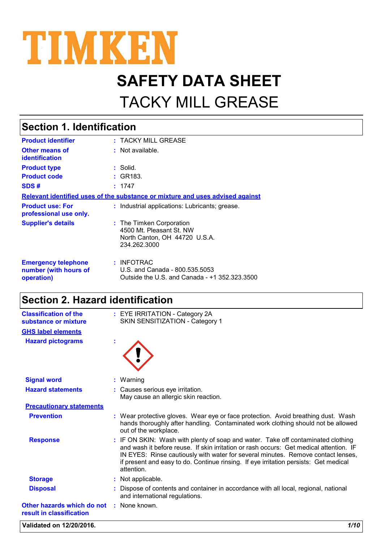

# **SAFETY DATA SHEET**

# TACKY MILL GREASE

| <b>Section 1. Identification</b>                                  |                                                                                                       |  |
|-------------------------------------------------------------------|-------------------------------------------------------------------------------------------------------|--|
| <b>Product identifier</b>                                         | : TACKY MILL GREASE                                                                                   |  |
| <b>Other means of</b><br><b>identification</b>                    | $:$ Not available.                                                                                    |  |
| <b>Product type</b>                                               | $:$ Solid.                                                                                            |  |
| <b>Product code</b>                                               | : GR183.                                                                                              |  |
| SDS#                                                              | : 1747                                                                                                |  |
|                                                                   | Relevant identified uses of the substance or mixture and uses advised against                         |  |
| <b>Product use: For</b><br>professional use only.                 | : Industrial applications: Lubricants; grease.                                                        |  |
| <b>Supplier's details</b>                                         | : The Timken Corporation<br>4500 Mt. Pleasant St. NW<br>North Canton, OH 44720 U.S.A.<br>234.262.3000 |  |
| <b>Emergency telephone</b><br>number (with hours of<br>operation) | $:$ INFOTRAC<br>U.S. and Canada - 800.535.5053<br>Outside the U.S. and Canada - +1 352.323.3500       |  |

#### **Section 2. Hazard identification**

| <b>Classification of the</b><br>substance or mixture   | : EYE IRRITATION - Category 2A<br>SKIN SENSITIZATION - Category 1                                                                                                                                                                                                                                                                                                    |
|--------------------------------------------------------|----------------------------------------------------------------------------------------------------------------------------------------------------------------------------------------------------------------------------------------------------------------------------------------------------------------------------------------------------------------------|
| <b>GHS label elements</b>                              |                                                                                                                                                                                                                                                                                                                                                                      |
| <b>Hazard pictograms</b>                               |                                                                                                                                                                                                                                                                                                                                                                      |
| <b>Signal word</b>                                     | : Warning                                                                                                                                                                                                                                                                                                                                                            |
| <b>Hazard statements</b>                               | : Causes serious eye irritation.<br>May cause an allergic skin reaction.                                                                                                                                                                                                                                                                                             |
| <b>Precautionary statements</b>                        |                                                                                                                                                                                                                                                                                                                                                                      |
| <b>Prevention</b>                                      | : Wear protective gloves. Wear eye or face protection. Avoid breathing dust. Wash<br>hands thoroughly after handling. Contaminated work clothing should not be allowed<br>out of the workplace.                                                                                                                                                                      |
| <b>Response</b>                                        | : IF ON SKIN: Wash with plenty of soap and water. Take off contaminated clothing<br>and wash it before reuse. If skin irritation or rash occurs: Get medical attention. IF<br>IN EYES: Rinse cautiously with water for several minutes. Remove contact lenses,<br>if present and easy to do. Continue rinsing. If eye irritation persists: Get medical<br>attention. |
| <b>Storage</b>                                         | : Not applicable.                                                                                                                                                                                                                                                                                                                                                    |
| <b>Disposal</b>                                        | Dispose of contents and container in accordance with all local, regional, national<br>and international regulations.                                                                                                                                                                                                                                                 |
| Other hazards which do not<br>result in classification | : None known.                                                                                                                                                                                                                                                                                                                                                        |

**Validated on 12/20/2016.** *1/10*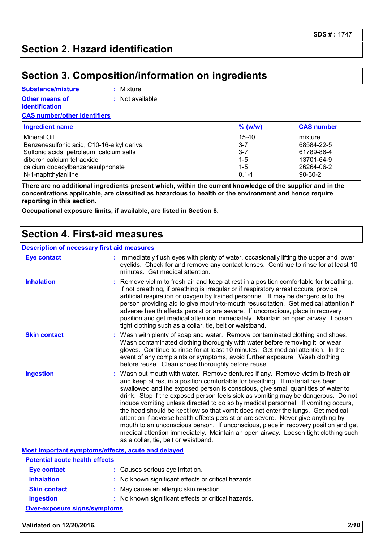#### **Section 2. Hazard identification**

#### **Section 3. Composition/information on ingredients**

#### **Substance/mixture**

**:** Mixture

**Other means of identification**

**:** Not available.

**CAS number/other identifiers**

| Ingredient name                            | $%$ (w/w) | <b>CAS number</b> |
|--------------------------------------------|-----------|-------------------|
| l Mineral Oil                              | $15-40$   | mixture           |
| Benzenesulfonic acid, C10-16-alkyl derivs. | $3 - 7$   | 68584-22-5        |
| Sulfonic acids, petroleum, calcium salts   | $3 - 7$   | 61789-86-4        |
| diboron calcium tetraoxide                 | $1 - 5$   | 13701-64-9        |
| calcium dodecylbenzenesulphonate           | $1 - 5$   | 26264-06-2        |
| N-1-naphthylaniline                        | $0.1 - 1$ | $90-30-2$         |

**There are no additional ingredients present which, within the current knowledge of the supplier and in the concentrations applicable, are classified as hazardous to health or the environment and hence require reporting in this section.**

**Occupational exposure limits, if available, are listed in Section 8.**

#### **Section 4. First-aid measures**

| <b>Description of necessary first aid measures</b> |                                                                                                                                                                                                                                                                                                                                                                                                                                                                                                                                                                                                                                                                                                                                                                                                                            |
|----------------------------------------------------|----------------------------------------------------------------------------------------------------------------------------------------------------------------------------------------------------------------------------------------------------------------------------------------------------------------------------------------------------------------------------------------------------------------------------------------------------------------------------------------------------------------------------------------------------------------------------------------------------------------------------------------------------------------------------------------------------------------------------------------------------------------------------------------------------------------------------|
| <b>Eye contact</b>                                 | : Immediately flush eyes with plenty of water, occasionally lifting the upper and lower<br>eyelids. Check for and remove any contact lenses. Continue to rinse for at least 10<br>minutes. Get medical attention.                                                                                                                                                                                                                                                                                                                                                                                                                                                                                                                                                                                                          |
| <b>Inhalation</b>                                  | Remove victim to fresh air and keep at rest in a position comfortable for breathing.<br>If not breathing, if breathing is irregular or if respiratory arrest occurs, provide<br>artificial respiration or oxygen by trained personnel. It may be dangerous to the<br>person providing aid to give mouth-to-mouth resuscitation. Get medical attention if<br>adverse health effects persist or are severe. If unconscious, place in recovery<br>position and get medical attention immediately. Maintain an open airway. Loosen<br>tight clothing such as a collar, tie, belt or waistband.                                                                                                                                                                                                                                 |
| <b>Skin contact</b>                                | : Wash with plenty of soap and water. Remove contaminated clothing and shoes.<br>Wash contaminated clothing thoroughly with water before removing it, or wear<br>gloves. Continue to rinse for at least 10 minutes. Get medical attention. In the<br>event of any complaints or symptoms, avoid further exposure. Wash clothing<br>before reuse. Clean shoes thoroughly before reuse.                                                                                                                                                                                                                                                                                                                                                                                                                                      |
| <b>Ingestion</b>                                   | Wash out mouth with water. Remove dentures if any. Remove victim to fresh air<br>and keep at rest in a position comfortable for breathing. If material has been<br>swallowed and the exposed person is conscious, give small quantities of water to<br>drink. Stop if the exposed person feels sick as vomiting may be dangerous. Do not<br>induce vomiting unless directed to do so by medical personnel. If vomiting occurs,<br>the head should be kept low so that vomit does not enter the lungs. Get medical<br>attention if adverse health effects persist or are severe. Never give anything by<br>mouth to an unconscious person. If unconscious, place in recovery position and get<br>medical attention immediately. Maintain an open airway. Loosen tight clothing such<br>as a collar, tie, belt or waistband. |
| Most important symptoms/effects, acute and delayed |                                                                                                                                                                                                                                                                                                                                                                                                                                                                                                                                                                                                                                                                                                                                                                                                                            |
| <b>Potential acute health effects</b>              |                                                                                                                                                                                                                                                                                                                                                                                                                                                                                                                                                                                                                                                                                                                                                                                                                            |
| <b>Eye contact</b>                                 | : Causes serious eye irritation.                                                                                                                                                                                                                                                                                                                                                                                                                                                                                                                                                                                                                                                                                                                                                                                           |
| Inhalation                                         | . No known significant effects or critical hazards                                                                                                                                                                                                                                                                                                                                                                                                                                                                                                                                                                                                                                                                                                                                                                         |

- **Inhalation :** No known significant effects or critical hazards. **Skin contact :** May cause an allergic skin reaction.
- **Ingestion :** No known significant effects or critical hazards.

**Over-exposure signs/symptoms**

**Validated on 12/20/2016.** *2/10*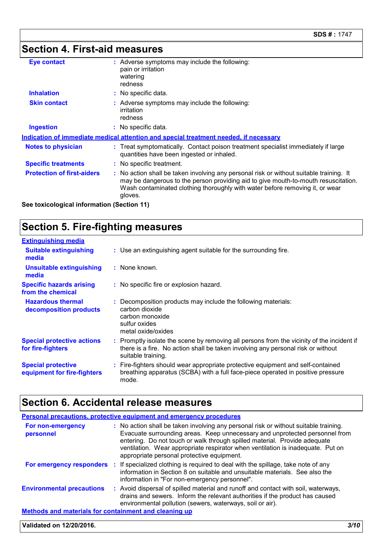### **Section 4. First-aid measures**

| <b>Eye contact</b>                | : Adverse symptoms may include the following:<br>pain or irritation<br>watering<br>redness                                                                                                                                                                               |
|-----------------------------------|--------------------------------------------------------------------------------------------------------------------------------------------------------------------------------------------------------------------------------------------------------------------------|
| <b>Inhalation</b>                 | : No specific data.                                                                                                                                                                                                                                                      |
| <b>Skin contact</b>               | : Adverse symptoms may include the following:<br>irritation<br>redness                                                                                                                                                                                                   |
| <b>Ingestion</b>                  | : No specific data.                                                                                                                                                                                                                                                      |
|                                   | <u>Indication of immediate medical attention and special treatment needed, if necessary</u>                                                                                                                                                                              |
| <b>Notes to physician</b>         | : Treat symptomatically. Contact poison treatment specialist immediately if large<br>quantities have been ingested or inhaled.                                                                                                                                           |
| <b>Specific treatments</b>        | : No specific treatment.                                                                                                                                                                                                                                                 |
| <b>Protection of first-aiders</b> | : No action shall be taken involving any personal risk or without suitable training. It<br>may be dangerous to the person providing aid to give mouth-to-mouth resuscitation.<br>Wash contaminated clothing thoroughly with water before removing it, or wear<br>gloves. |
|                                   |                                                                                                                                                                                                                                                                          |

**See toxicological information (Section 11)**

### **Section 5. Fire-fighting measures**

| <b>Extinguishing media</b>                               |                                                                                                                                                                                                     |
|----------------------------------------------------------|-----------------------------------------------------------------------------------------------------------------------------------------------------------------------------------------------------|
| <b>Suitable extinguishing</b><br>media                   | : Use an extinguishing agent suitable for the surrounding fire.                                                                                                                                     |
| <b>Unsuitable extinguishing</b><br>media                 | : None known.                                                                                                                                                                                       |
| <b>Specific hazards arising</b><br>from the chemical     | : No specific fire or explosion hazard.                                                                                                                                                             |
| <b>Hazardous thermal</b><br>decomposition products       | : Decomposition products may include the following materials:<br>carbon dioxide<br>carbon monoxide<br>sulfur oxides<br>metal oxide/oxides                                                           |
| <b>Special protective actions</b><br>for fire-fighters   | : Promptly isolate the scene by removing all persons from the vicinity of the incident if<br>there is a fire. No action shall be taken involving any personal risk or without<br>suitable training. |
| <b>Special protective</b><br>equipment for fire-fighters | : Fire-fighters should wear appropriate protective equipment and self-contained<br>breathing apparatus (SCBA) with a full face-piece operated in positive pressure<br>mode.                         |

### **Section 6. Accidental release measures**

| <b>Personal precautions, protective equipment and emergency procedures</b> |                                                                                                                                                                                                                                                                                                                                                                                   |  |  |
|----------------------------------------------------------------------------|-----------------------------------------------------------------------------------------------------------------------------------------------------------------------------------------------------------------------------------------------------------------------------------------------------------------------------------------------------------------------------------|--|--|
| For non-emergency<br>personnel                                             | : No action shall be taken involving any personal risk or without suitable training.<br>Evacuate surrounding areas. Keep unnecessary and unprotected personnel from<br>entering. Do not touch or walk through spilled material. Provide adequate<br>ventilation. Wear appropriate respirator when ventilation is inadequate. Put on<br>appropriate personal protective equipment. |  |  |
|                                                                            | For emergency responders : If specialized clothing is required to deal with the spillage, take note of any<br>information in Section 8 on suitable and unsuitable materials. See also the<br>information in "For non-emergency personnel".                                                                                                                                        |  |  |
| <b>Environmental precautions</b>                                           | : Avoid dispersal of spilled material and runoff and contact with soil, waterways,<br>drains and sewers. Inform the relevant authorities if the product has caused<br>environmental pollution (sewers, waterways, soil or air).                                                                                                                                                   |  |  |
| <b>Methods and materials for containment and cleaning up</b>               |                                                                                                                                                                                                                                                                                                                                                                                   |  |  |

#### **Validated on 12/20/2016.** *3/10*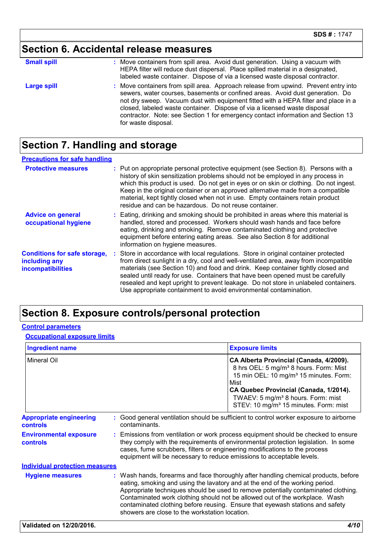### **Section 6. Accidental release measures**

| <b>Small spill</b> | : Move containers from spill area. Avoid dust generation. Using a vacuum with<br>HEPA filter will reduce dust dispersal. Place spilled material in a designated,<br>labeled waste container. Dispose of via a licensed waste disposal contractor.                                                                                                                                                                                                  |
|--------------------|----------------------------------------------------------------------------------------------------------------------------------------------------------------------------------------------------------------------------------------------------------------------------------------------------------------------------------------------------------------------------------------------------------------------------------------------------|
| <b>Large spill</b> | : Move containers from spill area. Approach release from upwind. Prevent entry into<br>sewers, water courses, basements or confined areas. Avoid dust generation. Do<br>not dry sweep. Vacuum dust with equipment fitted with a HEPA filter and place in a<br>closed, labeled waste container. Dispose of via a licensed waste disposal<br>contractor. Note: see Section 1 for emergency contact information and Section 13<br>for waste disposal. |

### **Section 7. Handling and storage**

| <b>Precautions for safe handling</b>                                      |                                                                                                                                                                                                                                                                                                                                                                                                                                                                                                               |
|---------------------------------------------------------------------------|---------------------------------------------------------------------------------------------------------------------------------------------------------------------------------------------------------------------------------------------------------------------------------------------------------------------------------------------------------------------------------------------------------------------------------------------------------------------------------------------------------------|
| <b>Protective measures</b>                                                | : Put on appropriate personal protective equipment (see Section 8). Persons with a<br>history of skin sensitization problems should not be employed in any process in<br>which this product is used. Do not get in eyes or on skin or clothing. Do not ingest.<br>Keep in the original container or an approved alternative made from a compatible<br>material, kept tightly closed when not in use. Empty containers retain product<br>residue and can be hazardous. Do not reuse container.                 |
| <b>Advice on general</b><br>occupational hygiene                          | : Eating, drinking and smoking should be prohibited in areas where this material is<br>handled, stored and processed. Workers should wash hands and face before<br>eating, drinking and smoking. Remove contaminated clothing and protective<br>equipment before entering eating areas. See also Section 8 for additional<br>information on hygiene measures.                                                                                                                                                 |
| <b>Conditions for safe storage,</b><br>including any<br>incompatibilities | : Store in accordance with local regulations. Store in original container protected<br>from direct sunlight in a dry, cool and well-ventilated area, away from incompatible<br>materials (see Section 10) and food and drink. Keep container tightly closed and<br>sealed until ready for use. Containers that have been opened must be carefully<br>resealed and kept upright to prevent leakage. Do not store in unlabeled containers.<br>Use appropriate containment to avoid environmental contamination. |

#### **Section 8. Exposure controls/personal protection**

#### **Control parameters**

**Occupational exposure limits**

| <b>Ingredient name</b>                            |                                                                                                                                                     | <b>Exposure limits</b>                                                                                                                                                                                                                                                                                                                                                                                                    |
|---------------------------------------------------|-----------------------------------------------------------------------------------------------------------------------------------------------------|---------------------------------------------------------------------------------------------------------------------------------------------------------------------------------------------------------------------------------------------------------------------------------------------------------------------------------------------------------------------------------------------------------------------------|
| <b>Mineral Oil</b>                                |                                                                                                                                                     | CA Alberta Provincial (Canada, 4/2009).<br>8 hrs OEL: 5 mg/m <sup>3</sup> 8 hours. Form: Mist<br>15 min OEL: 10 mg/m <sup>3</sup> 15 minutes. Form:<br>Mist<br>CA Quebec Provincial (Canada, 1/2014).<br>TWAEV: 5 mg/m <sup>3</sup> 8 hours. Form: mist<br>STEV: 10 mg/m <sup>3</sup> 15 minutes. Form: mist                                                                                                              |
| <b>Appropriate engineering</b><br><b>controls</b> | contaminants.                                                                                                                                       | Good general ventilation should be sufficient to control worker exposure to airborne                                                                                                                                                                                                                                                                                                                                      |
| <b>Environmental exposure</b><br>controls         | cases, fume scrubbers, filters or engineering modifications to the process<br>equipment will be necessary to reduce emissions to acceptable levels. | : Emissions from ventilation or work process equipment should be checked to ensure<br>they comply with the requirements of environmental protection legislation. In some                                                                                                                                                                                                                                                  |
| <b>Individual protection measures</b>             |                                                                                                                                                     |                                                                                                                                                                                                                                                                                                                                                                                                                           |
| <b>Hygiene measures</b>                           | showers are close to the workstation location.                                                                                                      | : Wash hands, forearms and face thoroughly after handling chemical products, before<br>eating, smoking and using the lavatory and at the end of the working period.<br>Appropriate techniques should be used to remove potentially contaminated clothing.<br>Contaminated work clothing should not be allowed out of the workplace. Wash<br>contaminated clothing before reusing. Ensure that eyewash stations and safety |
| Validated on 12/20/2016.                          |                                                                                                                                                     | 4/10                                                                                                                                                                                                                                                                                                                                                                                                                      |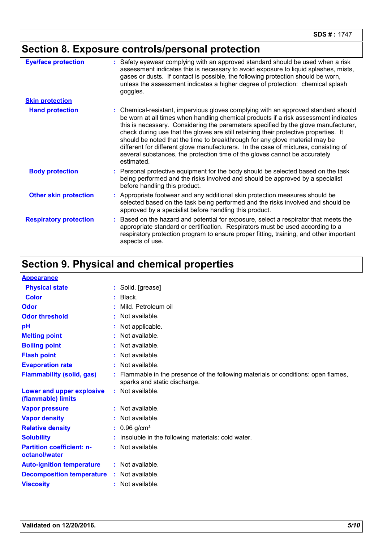## **Section 8. Exposure controls/personal protection**

| <b>Eye/face protection</b>    | : Safety eyewear complying with an approved standard should be used when a risk<br>assessment indicates this is necessary to avoid exposure to liquid splashes, mists,<br>gases or dusts. If contact is possible, the following protection should be worn,<br>unless the assessment indicates a higher degree of protection: chemical splash<br>goggles.                                                                                                                                                                                                                                                                  |
|-------------------------------|---------------------------------------------------------------------------------------------------------------------------------------------------------------------------------------------------------------------------------------------------------------------------------------------------------------------------------------------------------------------------------------------------------------------------------------------------------------------------------------------------------------------------------------------------------------------------------------------------------------------------|
| <b>Skin protection</b>        |                                                                                                                                                                                                                                                                                                                                                                                                                                                                                                                                                                                                                           |
| <b>Hand protection</b>        | : Chemical-resistant, impervious gloves complying with an approved standard should<br>be worn at all times when handling chemical products if a risk assessment indicates<br>this is necessary. Considering the parameters specified by the glove manufacturer,<br>check during use that the gloves are still retaining their protective properties. It<br>should be noted that the time to breakthrough for any glove material may be<br>different for different glove manufacturers. In the case of mixtures, consisting of<br>several substances, the protection time of the gloves cannot be accurately<br>estimated. |
| <b>Body protection</b>        | : Personal protective equipment for the body should be selected based on the task<br>being performed and the risks involved and should be approved by a specialist<br>before handling this product.                                                                                                                                                                                                                                                                                                                                                                                                                       |
| <b>Other skin protection</b>  | : Appropriate footwear and any additional skin protection measures should be<br>selected based on the task being performed and the risks involved and should be<br>approved by a specialist before handling this product.                                                                                                                                                                                                                                                                                                                                                                                                 |
| <b>Respiratory protection</b> | Based on the hazard and potential for exposure, select a respirator that meets the<br>appropriate standard or certification. Respirators must be used according to a<br>respiratory protection program to ensure proper fitting, training, and other important<br>aspects of use.                                                                                                                                                                                                                                                                                                                                         |

### **Section 9. Physical and chemical properties**

| <b>Appearance</b>                                 |                                                                                                                  |
|---------------------------------------------------|------------------------------------------------------------------------------------------------------------------|
| <b>Physical state</b>                             | : Solid. [grease]                                                                                                |
| <b>Color</b>                                      | $\therefore$ Black.                                                                                              |
| Odor                                              | : Mild. Petroleum oil                                                                                            |
| <b>Odor threshold</b>                             | $:$ Not available.                                                                                               |
| pH                                                | : Not applicable.                                                                                                |
| <b>Melting point</b>                              | : Not available.                                                                                                 |
| <b>Boiling point</b>                              | : Not available.                                                                                                 |
| <b>Flash point</b>                                | : Not available.                                                                                                 |
| <b>Evaporation rate</b>                           | : Not available.                                                                                                 |
| <b>Flammability (solid, gas)</b>                  | Flammable in the presence of the following materials or conditions: open flames,<br>sparks and static discharge. |
| Lower and upper explosive<br>(flammable) limits   | : Not available.                                                                                                 |
| <b>Vapor pressure</b>                             | : Not available.                                                                                                 |
| <b>Vapor density</b>                              | $:$ Not available.                                                                                               |
| <b>Relative density</b>                           | $: 0.96$ g/cm <sup>3</sup>                                                                                       |
| <b>Solubility</b>                                 | Insoluble in the following materials: cold water.                                                                |
| <b>Partition coefficient: n-</b><br>octanol/water | : Not available.                                                                                                 |
| <b>Auto-ignition temperature</b>                  | : Not available.                                                                                                 |
| <b>Decomposition temperature</b>                  | : Not available.                                                                                                 |
| <b>Viscosity</b>                                  | : Not available.                                                                                                 |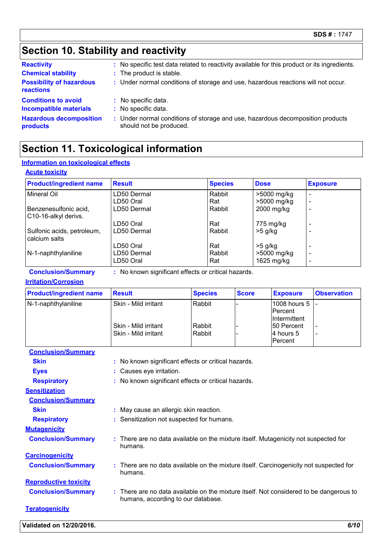### **Section 10. Stability and reactivity**

| <b>Reactivity</b><br><b>Chemical stability</b><br><b>Possibility of hazardous</b><br>reactions | : No specific test data related to reactivity available for this product or its ingredients.<br>: The product is stable.<br>: Under normal conditions of storage and use, hazardous reactions will not occur. |
|------------------------------------------------------------------------------------------------|---------------------------------------------------------------------------------------------------------------------------------------------------------------------------------------------------------------|
| <b>Conditions to avoid</b>                                                                     | : No specific data.                                                                                                                                                                                           |
| <b>Incompatible materials</b>                                                                  | : No specific data.                                                                                                                                                                                           |
| <b>Hazardous decomposition</b>                                                                 | : Under normal conditions of storage and use, hazardous decomposition products                                                                                                                                |
| products                                                                                       | should not be produced.                                                                                                                                                                                       |

### **Section 11. Toxicological information**

#### **Information on toxicological effects**

#### **Acute toxicity**

| <b>Product/ingredient name</b>                | <b>Result</b> | <b>Species</b> | <b>Dose</b> | <b>Exposure</b>          |
|-----------------------------------------------|---------------|----------------|-------------|--------------------------|
| Mineral Oil                                   | LD50 Dermal   | Rabbit         | >5000 mg/kg |                          |
|                                               | LD50 Oral     | Rat            | >5000 mg/kg |                          |
| Benzenesulfonic acid,<br>C10-16-alkyl derivs. | LD50 Dermal   | Rabbit         | 2000 mg/kg  |                          |
|                                               | LD50 Oral     | Rat            | 775 mg/kg   |                          |
| Sulfonic acids, petroleum,<br>calcium salts   | LD50 Dermal   | Rabbit         | $>5$ g/kg   |                          |
|                                               | LD50 Oral     | Rat            | $>5$ g/kg   |                          |
| N-1-naphthylaniline                           | LD50 Dermal   | Rabbit         | >5000 mg/kg | $\overline{\phantom{0}}$ |
|                                               | LD50 Oral     | Rat            | 1625 mg/kg  |                          |

**Conclusion/Summary :** No known significant effects or critical hazards.

**Irritation/Corrosion**

| <b>Product/ingredient name</b> | <b>Result</b>                                | <b>Species</b>   | <b>Score</b> | <b>Exposure</b>                             | <b>Observation</b> |
|--------------------------------|----------------------------------------------|------------------|--------------|---------------------------------------------|--------------------|
| N-1-naphthylaniline            | Skin - Mild irritant                         | Rabbit           |              | 1008 hours 5<br>lPercent.<br>IIntermittent  |                    |
|                                | Skin - Mild irritant<br>Skin - Mild irritant | Rabbit<br>Rabbit |              | 150 Percent<br>14 hours 5<br><b>Percent</b> |                    |

| <b>Conclusion/Summary</b>    |                                                                                                                              |
|------------------------------|------------------------------------------------------------------------------------------------------------------------------|
| <b>Skin</b>                  | : No known significant effects or critical hazards.                                                                          |
| <b>Eyes</b>                  | Causes eye irritation.                                                                                                       |
| <b>Respiratory</b>           | : No known significant effects or critical hazards.                                                                          |
| <b>Sensitization</b>         |                                                                                                                              |
| <b>Conclusion/Summary</b>    |                                                                                                                              |
| <b>Skin</b>                  | May cause an allergic skin reaction.                                                                                         |
| <b>Respiratory</b>           | : Sensitization not suspected for humans.                                                                                    |
| <b>Mutagenicity</b>          |                                                                                                                              |
| <b>Conclusion/Summary</b>    | : There are no data available on the mixture itself. Mutagenicity not suspected for<br>humans.                               |
| <b>Carcinogenicity</b>       |                                                                                                                              |
| <b>Conclusion/Summary</b>    | There are no data available on the mixture itself. Carcinogenicity not suspected for<br>humans.                              |
| <b>Reproductive toxicity</b> |                                                                                                                              |
| <b>Conclusion/Summary</b>    | : There are no data available on the mixture itself. Not considered to be dangerous to<br>humans, according to our database. |
| <b>Teratogenicity</b>        |                                                                                                                              |
| Validated on 12/20/2016.     | 6/10                                                                                                                         |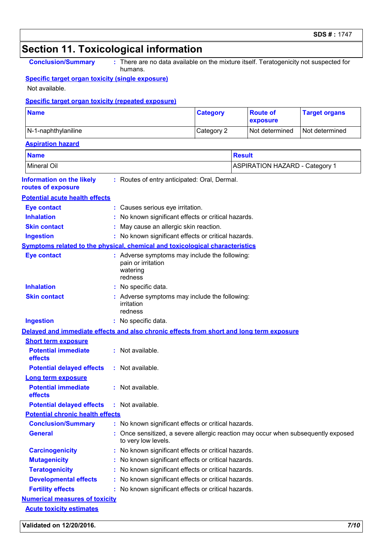#### **Section 11. Toxicological information Conclusion/Summary :** No known significant effects or critical hazards. **Conclusion/Summary :** There are no data available on the mixture itself. Teratogenicity not suspected for humans. **Information on the likely routes of exposure Inhalation :** No known significant effects or critical hazards. **Ingestion :** No known significant effects or critical hazards. **Skin contact :** May cause an allergic skin reaction. **Eye contact :** Causes serious eye irritation. Once sensitized, a severe allergic reaction may occur when subsequently exposed to very low levels. **General : Carcinogenicity :** No known significant effects or critical hazards. **Mutagenicity :** No known significant effects or critical hazards. **Teratogenicity :** No known significant effects or critical hazards. **Developmental effects :** No known significant effects or critical hazards. **Fertility effects :** No known significant effects or critical hazards. **Symptoms related to the physical, chemical and toxicological characteristics Skin contact Ingestion Inhalation :** No specific data. No specific data. **:** Adverse symptoms may include the following: **:** irritation redness **Eye contact :** Adverse symptoms may include the following: pain or irritation watering redness **Potential chronic health effects Delayed and immediate effects and also chronic effects from short and long term exposure Specific target organ toxicity (single exposure) Specific target organ toxicity (repeated exposure)** Not available. **Name Category** N-1-naphthylaniline Category 2 Not determined Not determined **Numerical measures of toxicity Acute toxicity estimates Aspiration hazard Name Result** Mineral Oil **ASPIRATION HAZARD** - Category 1 **Route of exposure Target organs :** Routes of entry anticipated: Oral, Dermal. **Potential acute health effects Potential immediate effects :** Not available. **Short term exposure Potential delayed effects :** Not available. **Potential immediate effects :** Not available. **Long term exposure Potential delayed effects :** Not available.

#### **Validated on 12/20/2016.** *7/10*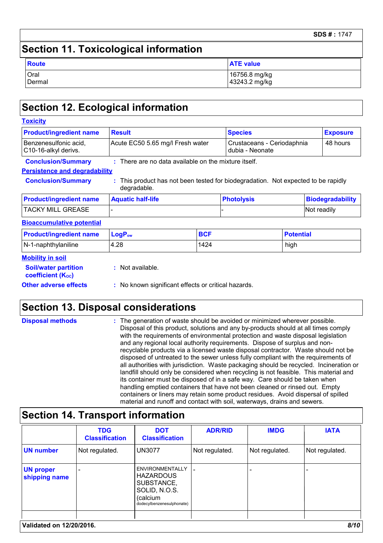### **Section 11. Toxicological information**

| <b>Route</b> | <b>ATE value</b> |
|--------------|------------------|
| Oral         | 16756.8 mg/kg    |
| Dermal       | 43243.2 mg/kg    |

### **Section 12. Ecological information**

| <b>Toxicity</b>                               |                                                        |            |                                                                                 |                  |                         |
|-----------------------------------------------|--------------------------------------------------------|------------|---------------------------------------------------------------------------------|------------------|-------------------------|
| <b>Product/ingredient name</b>                | <b>Result</b>                                          |            | <b>Species</b>                                                                  |                  | <b>Exposure</b>         |
| Benzenesulfonic acid,<br>C10-16-alkyl derivs. | Acute EC50 5.65 mg/l Fresh water                       |            | Crustaceans - Ceriodaphnia<br>dubia - Neonate                                   |                  | 48 hours                |
| <b>Conclusion/Summary</b>                     | $:$ There are no data available on the mixture itself. |            |                                                                                 |                  |                         |
| <b>Persistence and degradability</b>          |                                                        |            |                                                                                 |                  |                         |
| <b>Conclusion/Summary</b>                     | ÷.<br>degradable.                                      |            | This product has not been tested for biodegradation. Not expected to be rapidly |                  |                         |
| <b>Product/ingredient name</b>                | <b>Aquatic half-life</b>                               |            | <b>Photolysis</b>                                                               |                  | <b>Biodegradability</b> |
| <b>TACKY MILL GREASE</b>                      |                                                        |            |                                                                                 |                  | Not readily             |
| <b>Bioaccumulative potential</b>              |                                                        |            |                                                                                 |                  |                         |
| <b>Product/ingredient name</b>                | LogP <sub>ow</sub>                                     | <b>BCF</b> |                                                                                 | <b>Potential</b> |                         |
| N-1-naphthylaniline                           | 4.28<br>1424                                           |            |                                                                                 | high             |                         |
| <b>Mobility in soil</b>                       |                                                        |            |                                                                                 |                  |                         |

| --------------------           |                                                     |
|--------------------------------|-----------------------------------------------------|
| <b>Soil/water partition</b>    | : Not available.                                    |
| coefficient (K <sub>oc</sub> ) |                                                     |
| <b>Other adverse effects</b>   | : No known significant effects or critical hazards. |

### **Section 13. Disposal considerations**

| <b>Disposal methods</b> | : The generation of waste should be avoided or minimized wherever possible.<br>Disposal of this product, solutions and any by-products should at all times comply                                                                                                                                                                                  |
|-------------------------|----------------------------------------------------------------------------------------------------------------------------------------------------------------------------------------------------------------------------------------------------------------------------------------------------------------------------------------------------|
|                         | with the requirements of environmental protection and waste disposal legislation<br>and any regional local authority requirements. Dispose of surplus and non-<br>recyclable products via a licensed waste disposal contractor. Waste should not be                                                                                                |
|                         | disposed of untreated to the sewer unless fully compliant with the requirements of<br>all authorities with jurisdiction. Waste packaging should be recycled. Incineration or<br>landfill should only be considered when recycling is not feasible. This material and<br>its container must be disposed of in a safe way. Care should be taken when |
|                         | handling emptied containers that have not been cleaned or rinsed out. Empty<br>containers or liners may retain some product residues. Avoid dispersal of spilled<br>material and runoff and contact with soil, waterways, drains and sewers.                                                                                                       |

### **Section 14. Transport information**

|                                   | <b>TDG</b><br><b>Classification</b> | <b>DOT</b><br><b>Classification</b>                                                                         | <b>ADR/RID</b> | <b>IMDG</b>    | <b>IATA</b>    |
|-----------------------------------|-------------------------------------|-------------------------------------------------------------------------------------------------------------|----------------|----------------|----------------|
| <b>UN number</b>                  | Not regulated.                      | <b>UN3077</b>                                                                                               | Not regulated. | Not regulated. | Not regulated. |
| <b>UN proper</b><br>shipping name |                                     | ENVIRONMENTALLY<br><b>HAZARDOUS</b><br>SUBSTANCE,<br>SOLID, N.O.S.<br>(calcium<br>dodecylbenzenesulphonate) |                |                |                |
| Validated on 12/20/2016.          |                                     |                                                                                                             |                |                | 8/10           |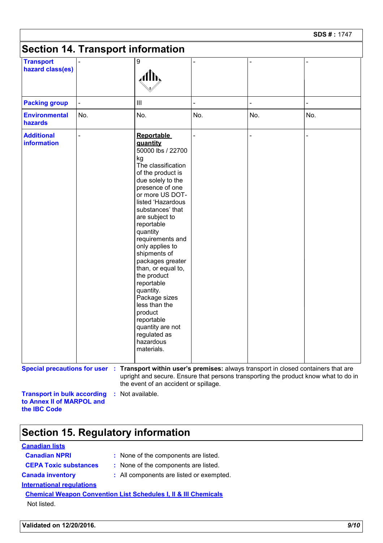| <b>SDS#: 1747</b> |  |
|-------------------|--|
|-------------------|--|

| <b>Transport</b>                 |     | 9                                                                                                                                                                                                                                                                                                                                                                                                                                                                                                                        |     |     |                                                                                     |
|----------------------------------|-----|--------------------------------------------------------------------------------------------------------------------------------------------------------------------------------------------------------------------------------------------------------------------------------------------------------------------------------------------------------------------------------------------------------------------------------------------------------------------------------------------------------------------------|-----|-----|-------------------------------------------------------------------------------------|
| hazard class(es)                 |     | Alh,                                                                                                                                                                                                                                                                                                                                                                                                                                                                                                                     |     |     |                                                                                     |
| <b>Packing group</b>             |     | $\mathbf{III}$                                                                                                                                                                                                                                                                                                                                                                                                                                                                                                           |     |     |                                                                                     |
| <b>Environmental</b><br>hazards  | No. | No.                                                                                                                                                                                                                                                                                                                                                                                                                                                                                                                      | No. | No. | No.                                                                                 |
| <b>Additional</b><br>information |     | <b>Reportable</b><br>quantity<br>50000 lbs / 22700<br>kg<br>The classification<br>of the product is<br>due solely to the<br>presence of one<br>or more US DOT-<br>listed 'Hazardous<br>substances' that<br>are subject to<br>reportable<br>quantity<br>requirements and<br>only applies to<br>shipments of<br>packages greater<br>than, or equal to,<br>the product<br>reportable<br>quantity.<br>Package sizes<br>less than the<br>product<br>reportable<br>quantity are not<br>regulated as<br>hazardous<br>materials. |     |     |                                                                                     |
|                                  |     | Special precautions for user : Transport within user's premises: always transport in closed containers that are<br>the event of an accident or spillage.                                                                                                                                                                                                                                                                                                                                                                 |     |     | upright and secure. Ensure that persons transporting the product know what to do in |

### **Section 15. Regulatory information**

#### **Canadian lists**

**International regulations Canada inventory :** All components are listed or exempted. **Canadian NPRI :** None of the components are listed. **CEPA Toxic substances :** None of the components are listed.

**Chemical Weapon Convention List Schedules I, II & III Chemicals** Not listed.

**Validated on 12/20/2016.** *9/10*